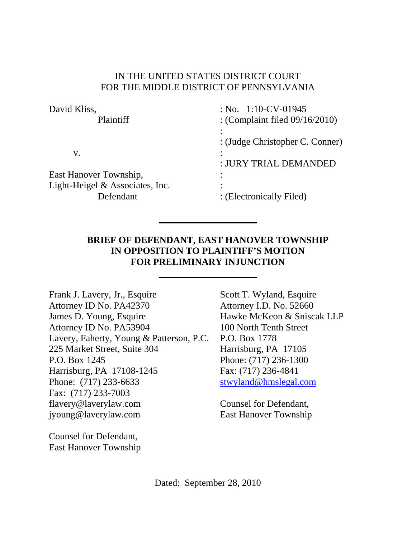#### IN THE UNITED STATES DISTRICT COURT FOR THE MIDDLE DISTRICT OF PENNSYLVANIA

| David Kliss,                    | : No. $1:10$ -CV-01945            |
|---------------------------------|-----------------------------------|
| <b>Plaintiff</b>                | : (Complaint filed $09/16/2010$ ) |
|                                 |                                   |
|                                 | : (Judge Christopher C. Conner)   |
| V.                              |                                   |
|                                 | : JURY TRIAL DEMANDED             |
| East Hanover Township,          |                                   |
| Light-Heigel & Associates, Inc. |                                   |
| Defendant                       | : (Electronically Filed)          |

### **BRIEF OF DEFENDANT, EAST HANOVER TOWNSHIP IN OPPOSITION TO PLAINTIFF'S MOTION FOR PRELIMINARY INJUNCTION**

Frank J. Lavery, Jr., Esquire Scott T. Wyland, Esquire Attorney ID No. PA42370 Attorney I.D. No. 52660 James D. Young, Esquire Hawke McKeon & Sniscak LLP Attorney ID No. PA53904 100 North Tenth Street Lavery, Faherty, Young & Patterson, P.C. P.O. Box 1778 225 Market Street, Suite 304 Harrisburg, PA 17105 P.O. Box 1245 Phone: (717) 236-1300 Harrisburg, PA 17108-1245 Fax: (717) 236-4841 Phone: (717) 233-6633 stwyland@hmslegal.com Fax: (717) 233-7003 flavery@laverylaw.com Counsel for Defendant, jyoung@laverylaw.com East Hanover Township

Counsel for Defendant, East Hanover Township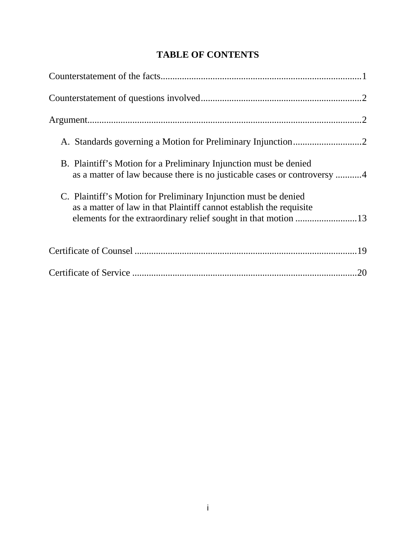| B. Plaintiff's Motion for a Preliminary Injunction must be denied<br>as a matter of law because there is no justicable cases or controversy 4                                                            |
|----------------------------------------------------------------------------------------------------------------------------------------------------------------------------------------------------------|
| C. Plaintiff's Motion for Preliminary Injunction must be denied<br>as a matter of law in that Plaintiff cannot establish the requisite<br>elements for the extraordinary relief sought in that motion 13 |
|                                                                                                                                                                                                          |
| 20                                                                                                                                                                                                       |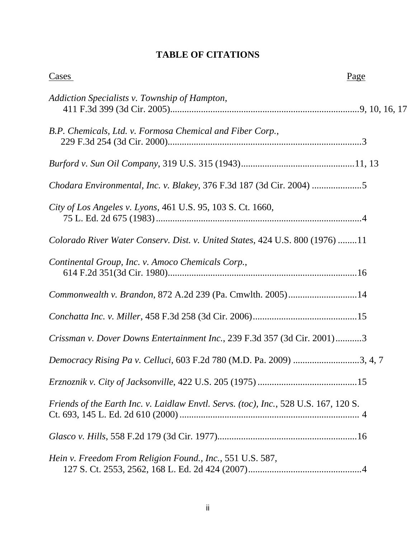## **TABLE OF CITATIONS**

| Cases                                                                                | Page |
|--------------------------------------------------------------------------------------|------|
| Addiction Specialists v. Township of Hampton,                                        |      |
| B.P. Chemicals, Ltd. v. Formosa Chemical and Fiber Corp.,                            |      |
|                                                                                      |      |
| Chodara Environmental, Inc. v. Blakey, 376 F.3d 187 (3d Cir. 2004)                   |      |
| City of Los Angeles v. Lyons, 461 U.S. 95, 103 S. Ct. 1660,                          |      |
| Colorado River Water Conserv. Dist. v. United States, 424 U.S. 800 (1976) 11         |      |
| Continental Group, Inc. v. Amoco Chemicals Corp.,                                    |      |
| Commonwealth v. Brandon, 872 A.2d 239 (Pa. Cmwlth. 2005)14                           |      |
|                                                                                      |      |
| Crissman v. Dover Downs Entertainment Inc., 239 F.3d 357 (3d Cir. 2001)3             |      |
|                                                                                      |      |
|                                                                                      |      |
| Friends of the Earth Inc. v. Laidlaw Envtl. Servs. (toc), Inc., 528 U.S. 167, 120 S. |      |
|                                                                                      |      |
| Hein v. Freedom From Religion Found., Inc., 551 U.S. 587,                            |      |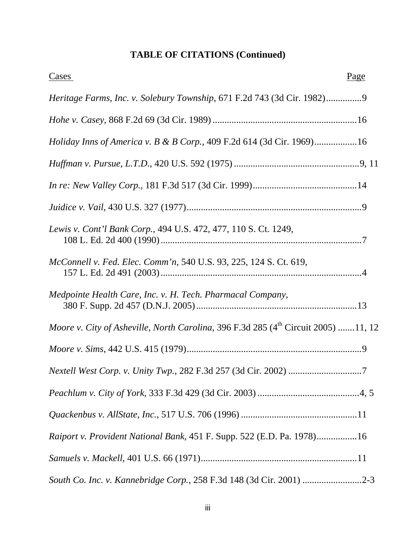# **TABLE OF CITATIONS (Continued)**

| Page<br>Cases                                                                           |
|-----------------------------------------------------------------------------------------|
| Heritage Farms, Inc. v. Solebury Township, 671 F.2d 743 (3d Cir. 1982)9                 |
|                                                                                         |
| <i>Holiday Inns of America v. B &amp; B Corp.</i> , 409 F.2d 614 (3d Cir. 1969)16       |
|                                                                                         |
|                                                                                         |
|                                                                                         |
| Lewis v. Cont'l Bank Corp., 494 U.S. 472, 477, 110 S. Ct. 1249,                         |
| McConnell v. Fed. Elec. Comm'n, 540 U.S. 93, 225, 124 S. Ct. 619,                       |
| Medpointe Health Care, Inc. v. H. Tech. Pharmacal Company,                              |
| Moore v. City of Asheville, North Carolina, 396 F.3d 285 $(4^{th}$ Circuit 2005) 11, 12 |
|                                                                                         |
|                                                                                         |
|                                                                                         |
|                                                                                         |
| Raiport v. Provident National Bank, 451 F. Supp. 522 (E.D. Pa. 1978)16                  |
|                                                                                         |
| South Co. Inc. v. Kannebridge Corp., 258 F.3d 148 (3d Cir. 2001) 2-3                    |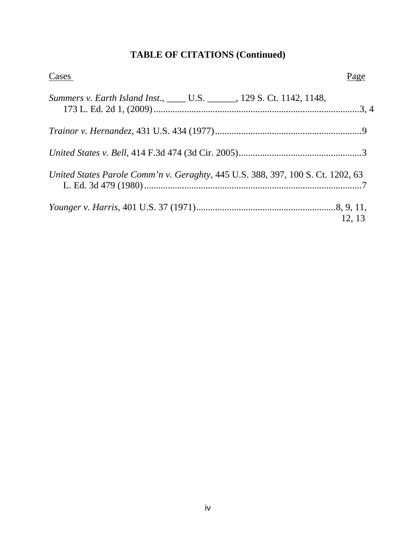# **TABLE OF CITATIONS (Continued)**

| Cases                                                                           | Page   |
|---------------------------------------------------------------------------------|--------|
| Summers v. Earth Island Inst., _____ U.S. ______, 129 S. Ct. 1142, 1148,        |        |
|                                                                                 |        |
|                                                                                 |        |
| United States Parole Comm'n v. Geraghty, 445 U.S. 388, 397, 100 S. Ct. 1202, 63 |        |
|                                                                                 | 12, 13 |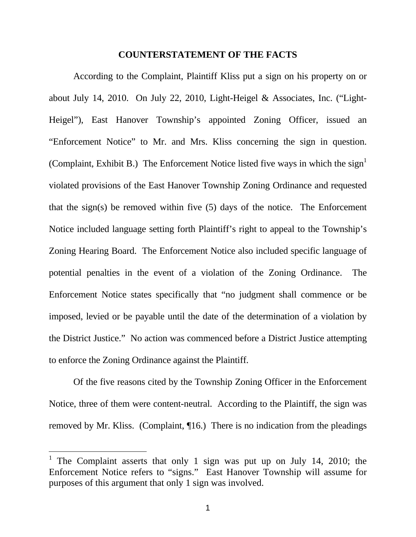#### **COUNTERSTATEMENT OF THE FACTS**

According to the Complaint, Plaintiff Kliss put a sign on his property on or about July 14, 2010. On July 22, 2010, Light-Heigel & Associates, Inc. ("Light-Heigel"), East Hanover Township's appointed Zoning Officer, issued an "Enforcement Notice" to Mr. and Mrs. Kliss concerning the sign in question. (Complaint, Exhibit B.) The Enforcement Notice listed five ways in which the sign<sup>1</sup> violated provisions of the East Hanover Township Zoning Ordinance and requested that the sign(s) be removed within five (5) days of the notice. The Enforcement Notice included language setting forth Plaintiff's right to appeal to the Township's Zoning Hearing Board. The Enforcement Notice also included specific language of potential penalties in the event of a violation of the Zoning Ordinance. The Enforcement Notice states specifically that "no judgment shall commence or be imposed, levied or be payable until the date of the determination of a violation by the District Justice." No action was commenced before a District Justice attempting to enforce the Zoning Ordinance against the Plaintiff.

Of the five reasons cited by the Township Zoning Officer in the Enforcement Notice, three of them were content-neutral. According to the Plaintiff, the sign was removed by Mr. Kliss. (Complaint, ¶16.) There is no indication from the pleadings

 $\overline{a}$ 

<span id="page-5-0"></span><sup>1</sup> The Complaint asserts that only 1 sign was put up on July 14, 2010; the Enforcement Notice refers to "signs." East Hanover Township will assume for purposes of this argument that only 1 sign was involved.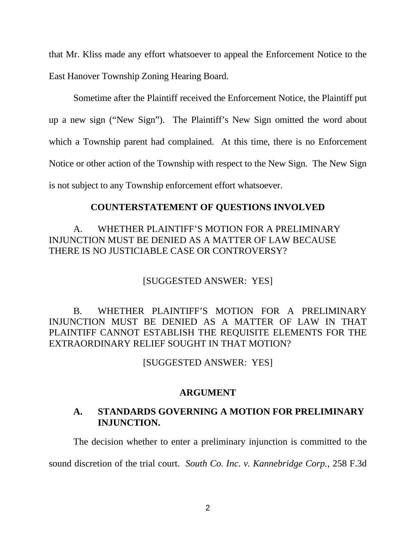that Mr. Kliss made any effort whatsoever to appeal the Enforcement Notice to the East Hanover Township Zoning Hearing Board.

Sometime after the Plaintiff received the Enforcement Notice, the Plaintiff put up a new sign ("New Sign"). The Plaintiff's New Sign omitted the word about which a Township parent had complained. At this time, there is no Enforcement Notice or other action of the Township with respect to the New Sign. The New Sign is not subject to any Township enforcement effort whatsoever.

### **COUNTERSTATEMENT OF QUESTIONS INVOLVED**

### A. WHETHER PLAINTIFF'S MOTION FOR A PRELIMINARY INJUNCTION MUST BE DENIED AS A MATTER OF LAW BECAUSE THERE IS NO JUSTICIABLE CASE OR CONTROVERSY?

### [SUGGESTED ANSWER: YES]

B. WHETHER PLAINTIFF'S MOTION FOR A PRELIMINARY INJUNCTION MUST BE DENIED AS A MATTER OF LAW IN THAT PLAINTIFF CANNOT ESTABLISH THE REQUISITE ELEMENTS FOR THE EXTRAORDINARY RELIEF SOUGHT IN THAT MOTION?

[SUGGESTED ANSWER: YES]

#### **ARGUMENT**

#### **A. STANDARDS GOVERNING A MOTION FOR PRELIMINARY INJUNCTION.**

The decision whether to enter a preliminary injunction is committed to the

sound discretion of the trial court. *South Co. Inc. v. Kannebridge Corp.*, 258 F.3d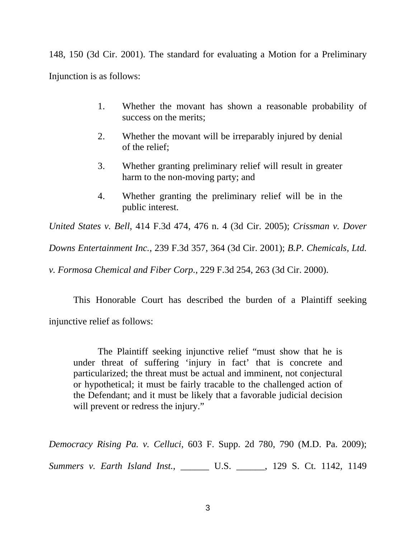148, 150 (3d Cir. 2001). The standard for evaluating a Motion for a Preliminary Injunction is as follows:

- 1. Whether the movant has shown a reasonable probability of success on the merits;
- 2. Whether the movant will be irreparably injured by denial of the relief;
- 3. Whether granting preliminary relief will result in greater harm to the non-moving party; and
- 4. Whether granting the preliminary relief will be in the public interest.

*United States v. Bell*, 414 F.3d 474, 476 n. 4 (3d Cir. 2005); *Crissman v. Dover* 

*Downs Entertainment Inc.*, 239 F.3d 357, 364 (3d Cir. 2001); *B.P. Chemicals, Ltd.* 

*v. Formosa Chemical and Fiber Corp.*, 229 F.3d 254, 263 (3d Cir. 2000).

This Honorable Court has described the burden of a Plaintiff seeking injunctive relief as follows:

The Plaintiff seeking injunctive relief "must show that he is under threat of suffering 'injury in fact' that is concrete and particularized; the threat must be actual and imminent, not conjectural or hypothetical; it must be fairly tracable to the challenged action of the Defendant; and it must be likely that a favorable judicial decision will prevent or redress the injury."

*Democracy Rising Pa. v. Celluci*, 603 F. Supp. 2d 780, 790 (M.D. Pa. 2009); *Summers v. Earth Island Inst.*, \_\_\_\_\_\_ U.S. \_\_\_\_\_\_, 129 S. Ct. 1142, 1149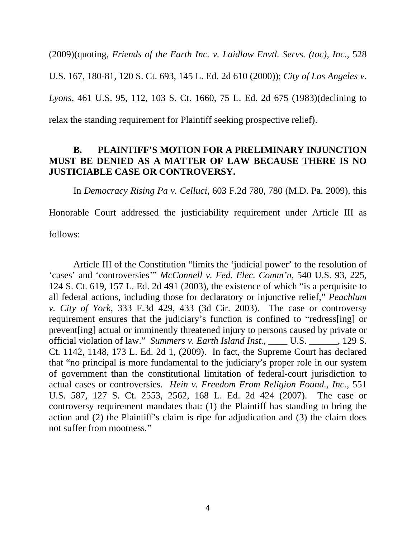(2009)(quoting, *Friends of the Earth Inc. v. Laidlaw Envtl. Servs. (toc), Inc.*, 528 U.S. 167, 180-81, 120 S. Ct. 693, 145 L. Ed. 2d 610 (2000)); *City of Los Angeles v. Lyons*, 461 U.S. 95, 112, 103 S. Ct. 1660, 75 L. Ed. 2d 675 (1983)(declining to relax the standing requirement for Plaintiff seeking prospective relief).

### **B. PLAINTIFF'S MOTION FOR A PRELIMINARY INJUNCTION MUST BE DENIED AS A MATTER OF LAW BECAUSE THERE IS NO JUSTICIABLE CASE OR CONTROVERSY.**

In *Democracy Rising Pa v. Celluci*, 603 F.2d 780, 780 (M.D. Pa. 2009), this

Honorable Court addressed the justiciability requirement under Article III as

follows:

Article III of the Constitution "limits the 'judicial power' to the resolution of 'cases' and 'controversies'" *McConnell v. Fed. Elec. Comm'n*, 540 U.S. 93, 225, 124 S. Ct. 619, 157 L. Ed. 2d 491 (2003), the existence of which "is a perquisite to all federal actions, including those for declaratory or injunctive relief," *Peachlum v. City of York*, 333 F.3d 429, 433 (3d Cir. 2003). The case or controversy requirement ensures that the judiciary's function is confined to "redress[ing] or prevent[ing] actual or imminently threatened injury to persons caused by private or official violation of law." *Summers v. Earth Island Inst.*, U.S. 129 S. Ct. 1142, 1148, 173 L. Ed. 2d 1, (2009). In fact, the Supreme Court has declared that "no principal is more fundamental to the judiciary's proper role in our system of government than the constitutional limitation of federal-court jurisdiction to actual cases or controversies. *Hein v. Freedom From Religion Found., Inc.*, 551 U.S. 587, 127 S. Ct. 2553, 2562, 168 L. Ed. 2d 424 (2007). The case or controversy requirement mandates that: (1) the Plaintiff has standing to bring the action and (2) the Plaintiff's claim is ripe for adjudication and (3) the claim does not suffer from mootness."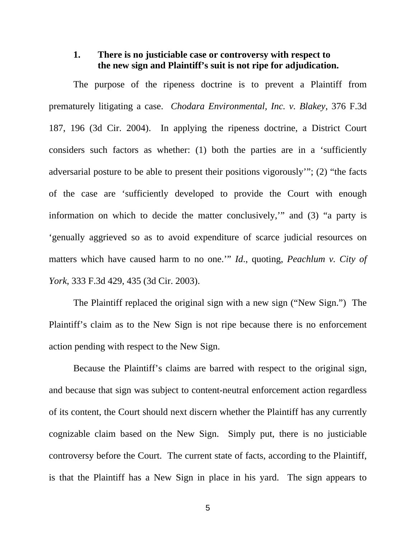### **1. There is no justiciable case or controversy with respect to the new sign and Plaintiff's suit is not ripe for adjudication.**

The purpose of the ripeness doctrine is to prevent a Plaintiff from prematurely litigating a case. *Chodara Environmental, Inc. v. Blakey*, 376 F.3d 187, 196 (3d Cir. 2004). In applying the ripeness doctrine, a District Court considers such factors as whether: (1) both the parties are in a 'sufficiently adversarial posture to be able to present their positions vigorously'"; (2) "the facts of the case are 'sufficiently developed to provide the Court with enough information on which to decide the matter conclusively,'" and (3) "a party is 'genually aggrieved so as to avoid expenditure of scarce judicial resources on matters which have caused harm to no one.'" *Id*., quoting, *Peachlum v. City of York*, 333 F.3d 429, 435 (3d Cir. 2003).

The Plaintiff replaced the original sign with a new sign ("New Sign.") The Plaintiff's claim as to the New Sign is not ripe because there is no enforcement action pending with respect to the New Sign.

Because the Plaintiff's claims are barred with respect to the original sign, and because that sign was subject to content-neutral enforcement action regardless of its content, the Court should next discern whether the Plaintiff has any currently cognizable claim based on the New Sign. Simply put, there is no justiciable controversy before the Court. The current state of facts, according to the Plaintiff, is that the Plaintiff has a New Sign in place in his yard. The sign appears to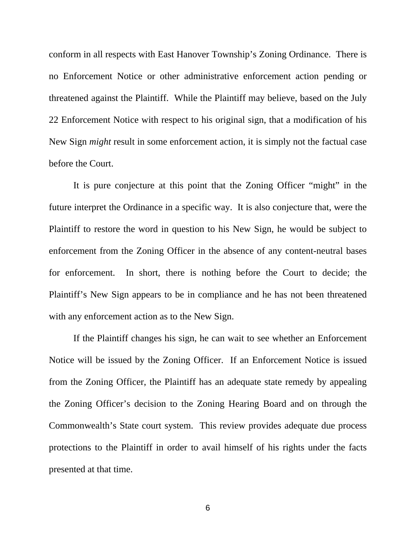conform in all respects with East Hanover Township's Zoning Ordinance. There is no Enforcement Notice or other administrative enforcement action pending or threatened against the Plaintiff. While the Plaintiff may believe, based on the July 22 Enforcement Notice with respect to his original sign, that a modification of his New Sign *might* result in some enforcement action, it is simply not the factual case before the Court.

It is pure conjecture at this point that the Zoning Officer "might" in the future interpret the Ordinance in a specific way. It is also conjecture that, were the Plaintiff to restore the word in question to his New Sign, he would be subject to enforcement from the Zoning Officer in the absence of any content-neutral bases for enforcement. In short, there is nothing before the Court to decide; the Plaintiff's New Sign appears to be in compliance and he has not been threatened with any enforcement action as to the New Sign.

If the Plaintiff changes his sign, he can wait to see whether an Enforcement Notice will be issued by the Zoning Officer. If an Enforcement Notice is issued from the Zoning Officer, the Plaintiff has an adequate state remedy by appealing the Zoning Officer's decision to the Zoning Hearing Board and on through the Commonwealth's State court system. This review provides adequate due process protections to the Plaintiff in order to avail himself of his rights under the facts presented at that time.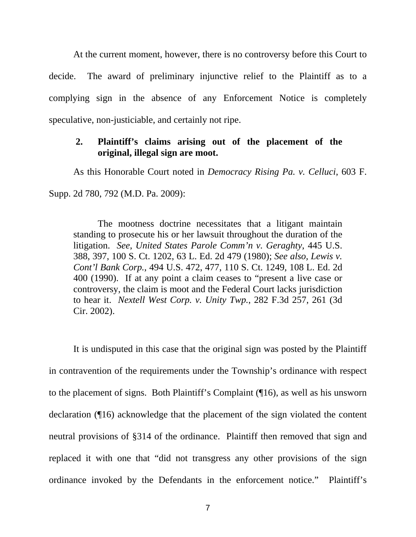At the current moment, however, there is no controversy before this Court to decide. The award of preliminary injunctive relief to the Plaintiff as to a complying sign in the absence of any Enforcement Notice is completely speculative, non-justiciable, and certainly not ripe.

### **2. Plaintiff's claims arising out of the placement of the original, illegal sign are moot.**

As this Honorable Court noted in *Democracy Rising Pa. v. Celluci*, 603 F.

Supp. 2d 780, 792 (M.D. Pa. 2009):

The mootness doctrine necessitates that a litigant maintain standing to prosecute his or her lawsuit throughout the duration of the litigation. *See*, *United States Parole Comm'n v. Geraghty*, 445 U.S. 388, 397, 100 S. Ct. 1202, 63 L. Ed. 2d 479 (1980); *See also, Lewis v. Cont'l Bank Corp.*, 494 U.S. 472, 477, 110 S. Ct. 1249, 108 L. Ed. 2d 400 (1990). If at any point a claim ceases to "present a live case or controversy, the claim is moot and the Federal Court lacks jurisdiction to hear it. *Nextell West Corp. v. Unity Twp.*, 282 F.3d 257, 261 (3d Cir. 2002).

It is undisputed in this case that the original sign was posted by the Plaintiff in contravention of the requirements under the Township's ordinance with respect to the placement of signs. Both Plaintiff's Complaint (¶16), as well as his unsworn declaration (¶16) acknowledge that the placement of the sign violated the content neutral provisions of §314 of the ordinance. Plaintiff then removed that sign and replaced it with one that "did not transgress any other provisions of the sign ordinance invoked by the Defendants in the enforcement notice." Plaintiff's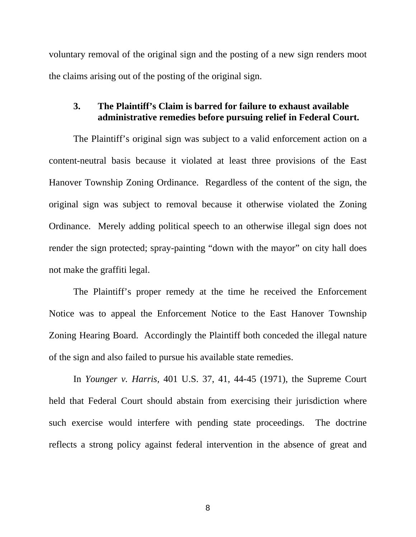voluntary removal of the original sign and the posting of a new sign renders moot the claims arising out of the posting of the original sign.

#### **3. The Plaintiff's Claim is barred for failure to exhaust available administrative remedies before pursuing relief in Federal Court.**

The Plaintiff's original sign was subject to a valid enforcement action on a content-neutral basis because it violated at least three provisions of the East Hanover Township Zoning Ordinance. Regardless of the content of the sign, the original sign was subject to removal because it otherwise violated the Zoning Ordinance. Merely adding political speech to an otherwise illegal sign does not render the sign protected; spray-painting "down with the mayor" on city hall does not make the graffiti legal.

The Plaintiff's proper remedy at the time he received the Enforcement Notice was to appeal the Enforcement Notice to the East Hanover Township Zoning Hearing Board. Accordingly the Plaintiff both conceded the illegal nature of the sign and also failed to pursue his available state remedies.

In *Younger v. Harris,* 401 U.S. 37, 41, 44-45 (1971), the Supreme Court held that Federal Court should abstain from exercising their jurisdiction where such exercise would interfere with pending state proceedings. The doctrine reflects a strong policy against federal intervention in the absence of great and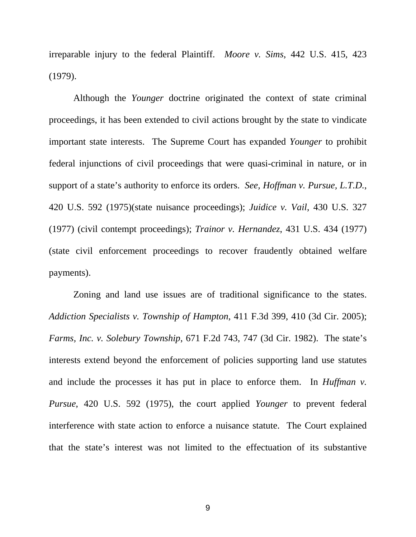irreparable injury to the federal Plaintiff. *Moore v. Sims*, 442 U.S. 415, 423 (1979).

Although the *Younger* doctrine originated the context of state criminal proceedings, it has been extended to civil actions brought by the state to vindicate important state interests. The Supreme Court has expanded *Younger* to prohibit federal injunctions of civil proceedings that were quasi-criminal in nature, or in support of a state's authority to enforce its orders. *See, Hoffman v. Pursue, L.T.D.*, 420 U.S. 592 (1975)(state nuisance proceedings); *Juidice v. Vail*, 430 U.S. 327 (1977) (civil contempt proceedings); *Trainor v. Hernandez*, 431 U.S. 434 (1977) (state civil enforcement proceedings to recover fraudently obtained welfare payments).

Zoning and land use issues are of traditional significance to the states. *Addiction Specialists v. Township of Hampton*, 411 F.3d 399, 410 (3d Cir. 2005); *Farms, Inc. v. Solebury Township*, 671 F.2d 743, 747 (3d Cir. 1982). The state's interests extend beyond the enforcement of policies supporting land use statutes and include the processes it has put in place to enforce them. In *Huffman v. Pursue*, 420 U.S. 592 (1975), the court applied *Younger* to prevent federal interference with state action to enforce a nuisance statute. The Court explained that the state's interest was not limited to the effectuation of its substantive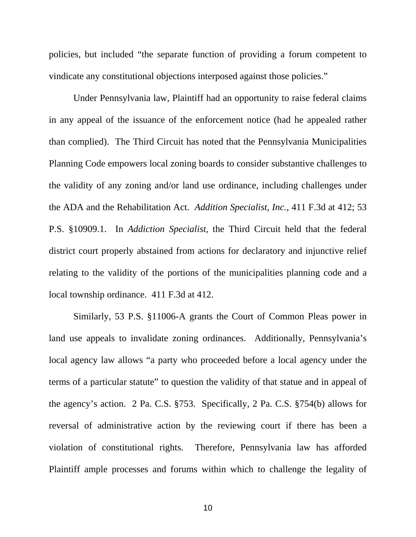policies, but included "the separate function of providing a forum competent to vindicate any constitutional objections interposed against those policies."

Under Pennsylvania law, Plaintiff had an opportunity to raise federal claims in any appeal of the issuance of the enforcement notice (had he appealed rather than complied). The Third Circuit has noted that the Pennsylvania Municipalities Planning Code empowers local zoning boards to consider substantive challenges to the validity of any zoning and/or land use ordinance, including challenges under the ADA and the Rehabilitation Act. *Addition Specialist, Inc.*, 411 F.3d at 412; 53 P.S. §10909.1. In *Addiction Specialist*, the Third Circuit held that the federal district court properly abstained from actions for declaratory and injunctive relief relating to the validity of the portions of the municipalities planning code and a local township ordinance. 411 F.3d at 412.

Similarly, 53 P.S. §11006-A grants the Court of Common Pleas power in land use appeals to invalidate zoning ordinances. Additionally, Pennsylvania's local agency law allows "a party who proceeded before a local agency under the terms of a particular statute" to question the validity of that statue and in appeal of the agency's action. 2 Pa. C.S. §753. Specifically, 2 Pa. C.S. §754(b) allows for reversal of administrative action by the reviewing court if there has been a violation of constitutional rights. Therefore, Pennsylvania law has afforded Plaintiff ample processes and forums within which to challenge the legality of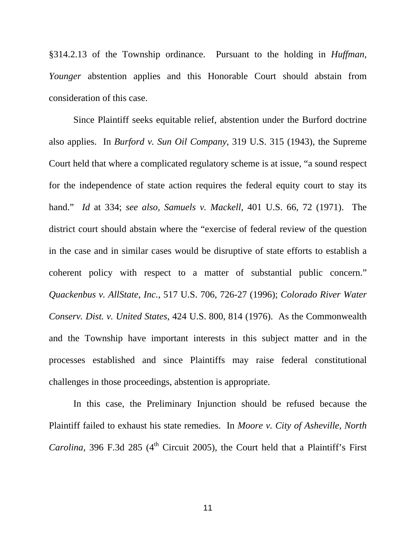§314.2.13 of the Township ordinance. Pursuant to the holding in *Huffman, Younger* abstention applies and this Honorable Court should abstain from consideration of this case.

Since Plaintiff seeks equitable relief, abstention under the Burford doctrine also applies. In *Burford v. Sun Oil Company*, 319 U.S. 315 (1943), the Supreme Court held that where a complicated regulatory scheme is at issue, "a sound respect for the independence of state action requires the federal equity court to stay its hand." *Id* at 334; *see also, Samuels v. Mackell*, 401 U.S. 66, 72 (1971). The district court should abstain where the "exercise of federal review of the question in the case and in similar cases would be disruptive of state efforts to establish a coherent policy with respect to a matter of substantial public concern." *Quackenbus v. AllState, Inc.*, 517 U.S. 706, 726-27 (1996); *Colorado River Water Conserv. Dist. v. United States*, 424 U.S. 800, 814 (1976). As the Commonwealth and the Township have important interests in this subject matter and in the processes established and since Plaintiffs may raise federal constitutional challenges in those proceedings, abstention is appropriate.

In this case, the Preliminary Injunction should be refused because the Plaintiff failed to exhaust his state remedies. In *Moore v. City of Asheville, North Carolina*, 396 F.3d 285 ( $4<sup>th</sup>$  Circuit 2005), the Court held that a Plaintiff's First

11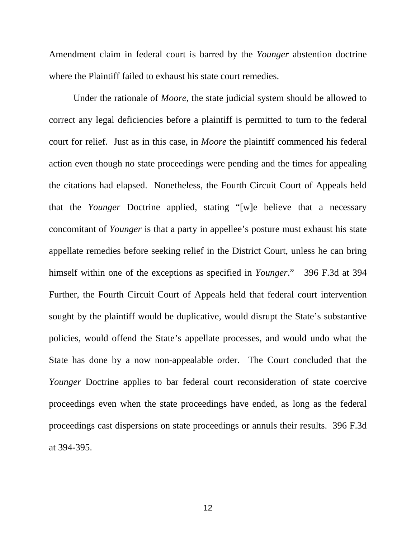Amendment claim in federal court is barred by the *Younger* abstention doctrine where the Plaintiff failed to exhaust his state court remedies.

Under the rationale of *Moore,* the state judicial system should be allowed to correct any legal deficiencies before a plaintiff is permitted to turn to the federal court for relief. Just as in this case, in *Moore* the plaintiff commenced his federal action even though no state proceedings were pending and the times for appealing the citations had elapsed. Nonetheless, the Fourth Circuit Court of Appeals held that the *Younger* Doctrine applied, stating "[w]e believe that a necessary concomitant of *Younger* is that a party in appellee's posture must exhaust his state appellate remedies before seeking relief in the District Court, unless he can bring himself within one of the exceptions as specified in *Younger*." 396 F.3d at 394 Further, the Fourth Circuit Court of Appeals held that federal court intervention sought by the plaintiff would be duplicative, would disrupt the State's substantive policies, would offend the State's appellate processes, and would undo what the State has done by a now non-appealable order. The Court concluded that the *Younger* Doctrine applies to bar federal court reconsideration of state coercive proceedings even when the state proceedings have ended, as long as the federal proceedings cast dispersions on state proceedings or annuls their results. 396 F.3d at 394-395.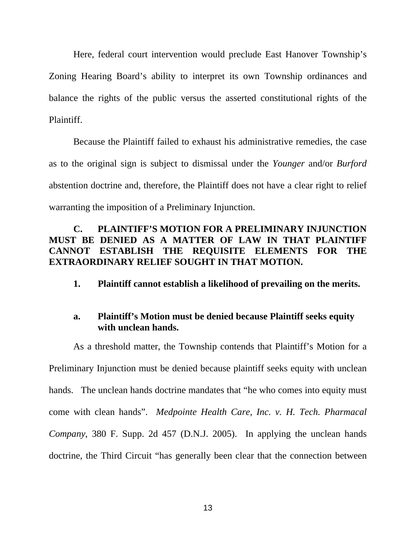Here, federal court intervention would preclude East Hanover Township's Zoning Hearing Board's ability to interpret its own Township ordinances and balance the rights of the public versus the asserted constitutional rights of the Plaintiff.

Because the Plaintiff failed to exhaust his administrative remedies, the case as to the original sign is subject to dismissal under the *Younger* and/or *Burford* abstention doctrine and, therefore, the Plaintiff does not have a clear right to relief warranting the imposition of a Preliminary Injunction.

### **C. PLAINTIFF'S MOTION FOR A PRELIMINARY INJUNCTION MUST BE DENIED AS A MATTER OF LAW IN THAT PLAINTIFF CANNOT ESTABLISH THE REQUISITE ELEMENTS FOR THE EXTRAORDINARY RELIEF SOUGHT IN THAT MOTION.**

**1. Plaintiff cannot establish a likelihood of prevailing on the merits.** 

### **a. Plaintiff's Motion must be denied because Plaintiff seeks equity with unclean hands.**

As a threshold matter, the Township contends that Plaintiff's Motion for a Preliminary Injunction must be denied because plaintiff seeks equity with unclean hands. The unclean hands doctrine mandates that "he who comes into equity must come with clean hands". *Medpointe Health Care, Inc. v. H. Tech. Pharmacal Company*, 380 F. Supp. 2d 457 (D.N.J. 2005). In applying the unclean hands doctrine, the Third Circuit "has generally been clear that the connection between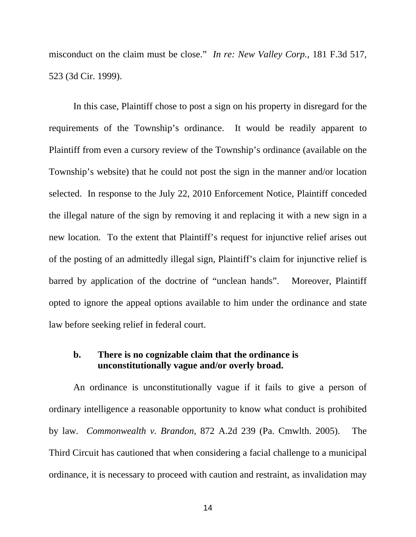misconduct on the claim must be close." *In re: New Valley Corp.*, 181 F.3d 517, 523 (3d Cir. 1999).

In this case, Plaintiff chose to post a sign on his property in disregard for the requirements of the Township's ordinance. It would be readily apparent to Plaintiff from even a cursory review of the Township's ordinance (available on the Township's website) that he could not post the sign in the manner and/or location selected. In response to the July 22, 2010 Enforcement Notice, Plaintiff conceded the illegal nature of the sign by removing it and replacing it with a new sign in a new location. To the extent that Plaintiff's request for injunctive relief arises out of the posting of an admittedly illegal sign, Plaintiff's claim for injunctive relief is barred by application of the doctrine of "unclean hands". Moreover, Plaintiff opted to ignore the appeal options available to him under the ordinance and state law before seeking relief in federal court.

#### **b. There is no cognizable claim that the ordinance is unconstitutionally vague and/or overly broad.**

An ordinance is unconstitutionally vague if it fails to give a person of ordinary intelligence a reasonable opportunity to know what conduct is prohibited by law. *Commonwealth v. Brandon*, 872 A.2d 239 (Pa. Cmwlth. 2005). The Third Circuit has cautioned that when considering a facial challenge to a municipal ordinance, it is necessary to proceed with caution and restraint, as invalidation may

14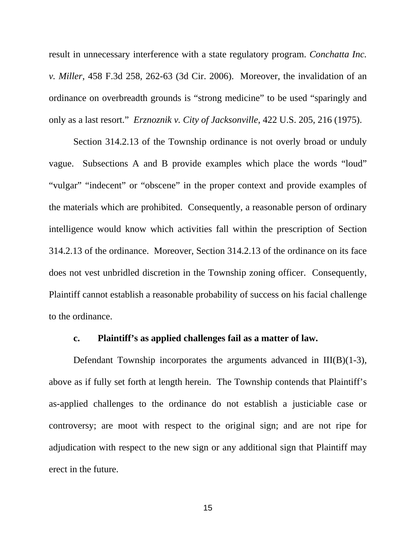result in unnecessary interference with a state regulatory program. *Conchatta Inc. v. Miller*, 458 F.3d 258, 262-63 (3d Cir. 2006). Moreover, the invalidation of an ordinance on overbreadth grounds is "strong medicine" to be used "sparingly and only as a last resort." *Erznoznik v. City of Jacksonville*, 422 U.S. 205, 216 (1975).

Section 314.2.13 of the Township ordinance is not overly broad or unduly vague. Subsections A and B provide examples which place the words "loud" "vulgar" "indecent" or "obscene" in the proper context and provide examples of the materials which are prohibited. Consequently, a reasonable person of ordinary intelligence would know which activities fall within the prescription of Section 314.2.13 of the ordinance. Moreover, Section 314.2.13 of the ordinance on its face does not vest unbridled discretion in the Township zoning officer. Consequently, Plaintiff cannot establish a reasonable probability of success on his facial challenge to the ordinance.

#### **c. Plaintiff's as applied challenges fail as a matter of law.**

Defendant Township incorporates the arguments advanced in III(B)(1-3), above as if fully set forth at length herein. The Township contends that Plaintiff's as-applied challenges to the ordinance do not establish a justiciable case or controversy; are moot with respect to the original sign; and are not ripe for adjudication with respect to the new sign or any additional sign that Plaintiff may erect in the future.

15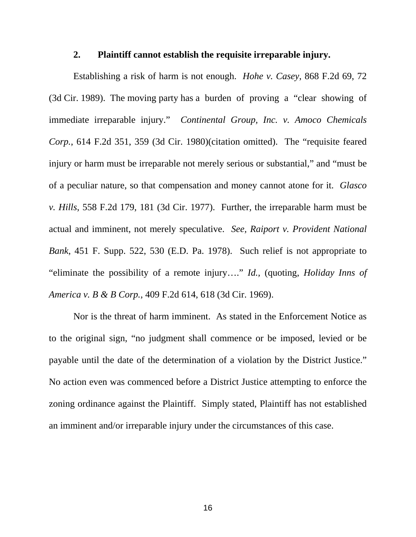#### **2. Plaintiff cannot establish the requisite irreparable injury.**

Establishing a risk of harm is not enough. *Hohe v. Casey*, 868 F.2d 69, 72 (3d Cir. 1989). The moving party has a burden of proving a "clear showing of immediate irreparable injury." *Continental Group, Inc. v. Amoco Chemicals Corp.*, 614 F.2d 351, 359 (3d Cir. 1980)(citation omitted). The "requisite feared injury or harm must be irreparable not merely serious or substantial," and "must be of a peculiar nature, so that compensation and money cannot atone for it. *Glasco v. Hills*, 558 F.2d 179, 181 (3d Cir. 1977). Further, the irreparable harm must be actual and imminent, not merely speculative. *See, Raiport v. Provident National Bank*, 451 F. Supp. 522, 530 (E.D. Pa. 1978). Such relief is not appropriate to "eliminate the possibility of a remote injury…." *Id.,* (quoting, *Holiday Inns of America v. B & B Corp.*, 409 F.2d 614, 618 (3d Cir. 1969).

Nor is the threat of harm imminent. As stated in the Enforcement Notice as to the original sign, "no judgment shall commence or be imposed, levied or be payable until the date of the determination of a violation by the District Justice." No action even was commenced before a District Justice attempting to enforce the zoning ordinance against the Plaintiff. Simply stated, Plaintiff has not established an imminent and/or irreparable injury under the circumstances of this case.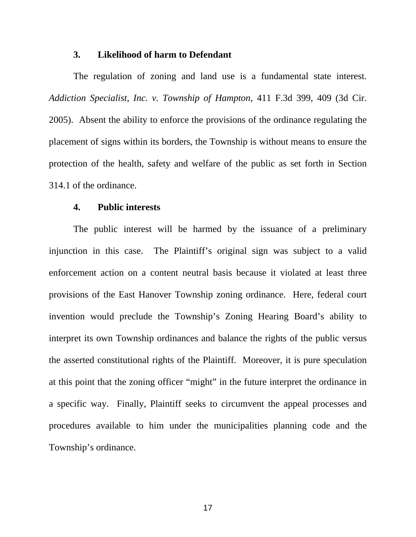#### **3. Likelihood of harm to Defendant**

The regulation of zoning and land use is a fundamental state interest. *Addiction Specialist, Inc. v. Township of Hampton*, 411 F.3d 399, 409 (3d Cir. 2005). Absent the ability to enforce the provisions of the ordinance regulating the placement of signs within its borders, the Township is without means to ensure the protection of the health, safety and welfare of the public as set forth in Section 314.1 of the ordinance.

#### **4. Public interests**

The public interest will be harmed by the issuance of a preliminary injunction in this case. The Plaintiff's original sign was subject to a valid enforcement action on a content neutral basis because it violated at least three provisions of the East Hanover Township zoning ordinance. Here, federal court invention would preclude the Township's Zoning Hearing Board's ability to interpret its own Township ordinances and balance the rights of the public versus the asserted constitutional rights of the Plaintiff. Moreover, it is pure speculation at this point that the zoning officer "might" in the future interpret the ordinance in a specific way. Finally, Plaintiff seeks to circumvent the appeal processes and procedures available to him under the municipalities planning code and the Township's ordinance.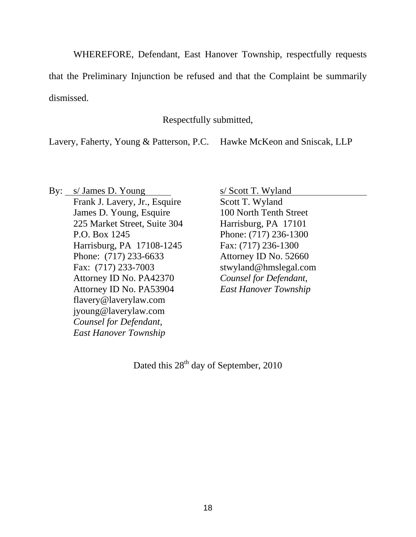WHEREFORE, Defendant, East Hanover Township, respectfully requests

that the Preliminary Injunction be refused and that the Complaint be summarily dismissed.

Respectfully submitted,

Lavery, Faherty, Young & Patterson, P.C. Hawke McKeon and Sniscak, LLP

By: s/ James D. Young s/ Scott T. Wyland Frank J. Lavery, Jr., Esquire Scott T. Wyland James D. Young, Esquire 100 North Tenth Street 225 Market Street, Suite 304 Harrisburg, PA 17101 P.O. Box 1245 Phone: (717) 236-1300 Harrisburg, PA 17108-1245 Fax: (717) 236-1300 Phone: (717) 233-6633 Attorney ID No. 52660 Fax: (717) 233-7003 stwyland@hmslegal.com Attorney ID No. PA42370 *Counsel for Defendant,*  Attorney ID No. PA53904 *East Hanover Township*  flavery@laverylaw.com jyoung@laverylaw.com *Counsel for Defendant, East Hanover Township* 

Dated this  $28<sup>th</sup>$  day of September, 2010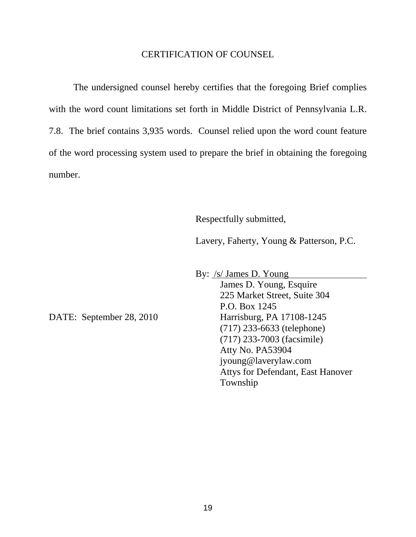#### CERTIFICATION OF COUNSEL

The undersigned counsel hereby certifies that the foregoing Brief complies with the word count limitations set forth in Middle District of Pennsylvania L.R. 7.8. The brief contains 3,935 words. Counsel relied upon the word count feature of the word processing system used to prepare the brief in obtaining the foregoing number.

Respectfully submitted,

Lavery, Faherty, Young & Patterson, P.C.

 By: /s/ James D. Young James D. Young, Esquire 225 Market Street, Suite 304 P.O. Box 1245 DATE: September 28, 2010 Harrisburg, PA 17108-1245 (717) 233-6633 (telephone) (717) 233-7003 (facsimile) Atty No. PA53904 jyoung@laverylaw.com Attys for Defendant, East Hanover Township